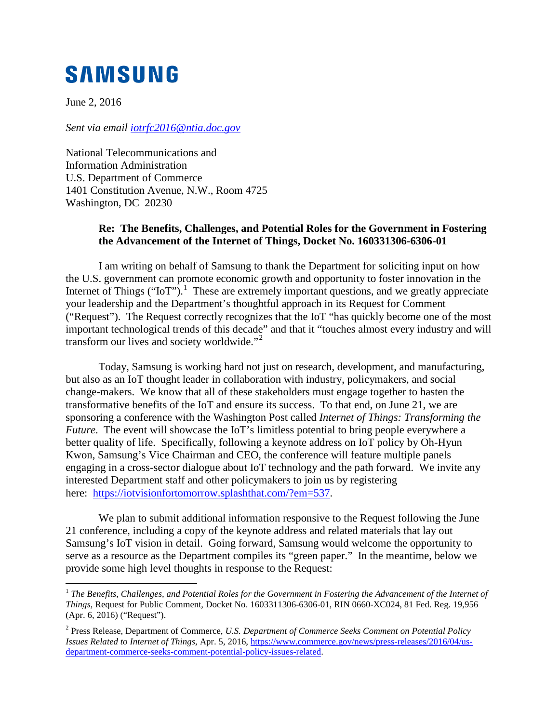## **SAMSUNG**

June 2, 2016

*Sent via email [iotrfc2016@ntia.doc.gov](mailto:iotrfc2016@ntia.doc.gov)* 

National Telecommunications and Information Administration U.S. Department of Commerce 1401 Constitution Avenue, N.W., Room 4725 Washington, DC 20230

## **Re: The Benefits, Challenges, and Potential Roles for the Government in Fostering the Advancement of the Internet of Things, Docket No. 160331306-6306-01**

I am writing on behalf of Samsung to thank the Department for soliciting input on how the U.S. government can promote economic growth and opportunity to foster innovation in the Internet of Things ("IoT").<sup>[1](#page-0-0)</sup> These are extremely important questions, and we greatly appreciate your leadership and the Department's thoughtful approach in its Request for Comment ("Request"). The Request correctly recognizes that the IoT "has quickly become one of the most important technological trends of this decade" and that it "touches almost every industry and will transform our lives and society worldwide."<sup>[2](#page-0-1)</sup>

Today, Samsung is working hard not just on research, development, and manufacturing, but also as an IoT thought leader in collaboration with industry, policymakers, and social change-makers. We know that all of these stakeholders must engage together to hasten the transformative benefits of the IoT and ensure its success. To that end, on June 21, we are sponsoring a conference with the Washington Post called *Internet of Things: Transforming the Future*. The event will showcase the IoT's limitless potential to bring people everywhere a better quality of life. Specifically, following a keynote address on IoT policy by Oh-Hyun Kwon, Samsung's Vice Chairman and CEO, the conference will feature multiple panels engaging in a cross-sector dialogue about IoT technology and the path forward. We invite any interested Department staff and other policymakers to join us by registering here: [https://iotvisionfortomorrow.splashthat.com/?em=537.](https://iotvisionfortomorrow.splashthat.com/?em=537)

We plan to submit additional information responsive to the Request following the June 21 conference, including a copy of the keynote address and related materials that lay out Samsung's IoT vision in detail. Going forward, Samsung would welcome the opportunity to serve as a resource as the Department compiles its "green paper." In the meantime, below we provide some high level thoughts in response to the Request:

<span id="page-0-0"></span><sup>&</sup>lt;sup>1</sup> The Benefits, Challenges, and Potential Roles for the Government in Fostering the Advancement of the Internet of *Things*, Request for Public Comment, Docket No. 1603311306-6306-01, RIN 0660-XC024, 81 Fed. Reg. 19,956 (Apr. 6, 2016) ("Request").

<span id="page-0-1"></span><sup>2</sup> Press Release, Department of Commerce, *U.S. Department of Commerce Seeks Comment on Potential Policy Issues Related to Internet of Things*, Apr. 5, 2016[, https://www.commerce.gov/news/press-releases/2016/04/us](https://www.commerce.gov/news/press-releases/2016/04/us-department-commerce-seeks-comment-potential-policy-issues-related)[department-commerce-seeks-comment-potential-policy-issues-related.](https://www.commerce.gov/news/press-releases/2016/04/us-department-commerce-seeks-comment-potential-policy-issues-related)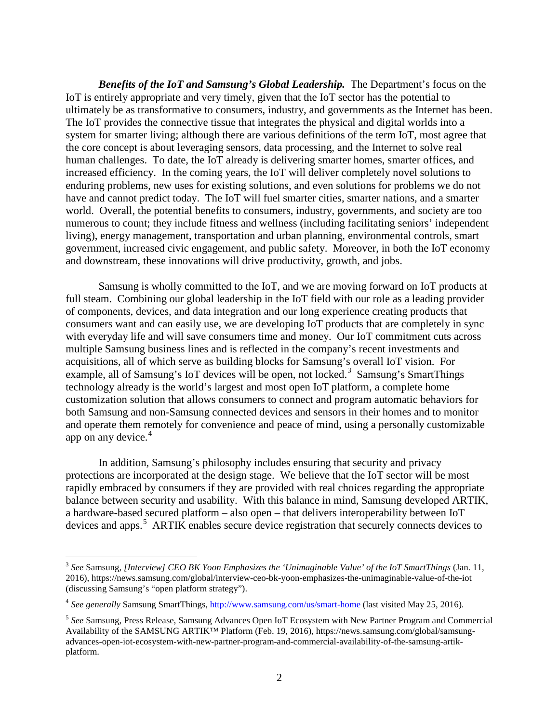*Benefits of the IoT and Samsung's Global Leadership.* The Department's focus on the IoT is entirely appropriate and very timely, given that the IoT sector has the potential to ultimately be as transformative to consumers, industry, and governments as the Internet has been. The IoT provides the connective tissue that integrates the physical and digital worlds into a system for smarter living; although there are various definitions of the term IoT, most agree that the core concept is about leveraging sensors, data processing, and the Internet to solve real human challenges. To date, the IoT already is delivering smarter homes, smarter offices, and increased efficiency. In the coming years, the IoT will deliver completely novel solutions to enduring problems, new uses for existing solutions, and even solutions for problems we do not have and cannot predict today. The IoT will fuel smarter cities, smarter nations, and a smarter world. Overall, the potential benefits to consumers, industry, governments, and society are too numerous to count; they include fitness and wellness (including facilitating seniors' independent living), energy management, transportation and urban planning, environmental controls, smart government, increased civic engagement, and public safety. Moreover, in both the IoT economy and downstream, these innovations will drive productivity, growth, and jobs.

Samsung is wholly committed to the IoT, and we are moving forward on IoT products at full steam. Combining our global leadership in the IoT field with our role as a leading provider of components, devices, and data integration and our long experience creating products that consumers want and can easily use, we are developing IoT products that are completely in sync with everyday life and will save consumers time and money. Our IoT commitment cuts across multiple Samsung business lines and is reflected in the company's recent investments and acquisitions, all of which serve as building blocks for Samsung's overall IoT vision. For example, all of Samsung's IoT devices will be open, not locked.<sup>[3](#page-1-0)</sup> Samsung's SmartThings technology already is the world's largest and most open IoT platform, a complete home customization solution that allows consumers to connect and program automatic behaviors for both Samsung and non-Samsung connected devices and sensors in their homes and to monitor and operate them remotely for convenience and peace of mind, using a personally customizable app on any device. [4](#page-1-1)

In addition, Samsung's philosophy includes ensuring that security and privacy protections are incorporated at the design stage. We believe that the IoT sector will be most rapidly embraced by consumers if they are provided with real choices regarding the appropriate balance between security and usability. With this balance in mind, Samsung developed ARTIK, a hardware-based secured platform – also open – that delivers interoperability between IoT devices and apps.<sup>[5](#page-1-2)</sup> ARTIK enables secure device registration that securely connects devices to

<span id="page-1-0"></span> <sup>3</sup> *See* Samsung, *[Interview] CEO BK Yoon Emphasizes the 'Unimaginable Value' of the IoT SmartThings* (Jan. 11, 2016), https://news.samsung.com/global/interview-ceo-bk-yoon-emphasizes-the-unimaginable-value-of-the-iot (discussing Samsung's "open platform strategy").

<span id="page-1-1"></span><sup>&</sup>lt;sup>4</sup> See generally Samsung SmartThings,<http://www.samsung.com/us/smart-home> (last visited May 25, 2016).

<span id="page-1-2"></span><sup>5</sup> *See* Samsung, Press Release, Samsung Advances Open IoT Ecosystem with New Partner Program and Commercial Availability of the SAMSUNG ARTIK™ Platform (Feb. 19, 2016), https://news.samsung.com/global/samsungadvances-open-iot-ecosystem-with-new-partner-program-and-commercial-availability-of-the-samsung-artikplatform.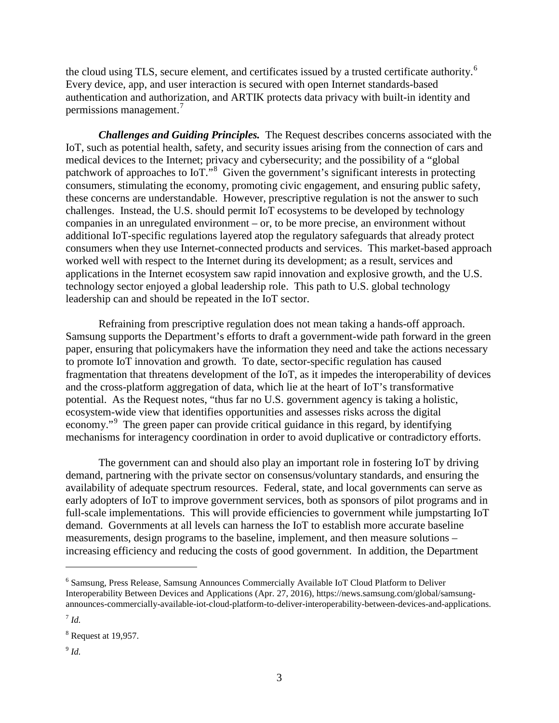the cloud using TLS, secure element, and certificates issued by a trusted certificate authority.<sup>[6](#page-2-0)</sup> Every device, app, and user interaction is secured with open Internet standards-based authentication and authorization, and ARTIK protects data privacy with built-in identity and permissions management.<sup>[7](#page-2-1)</sup>

*Challenges and Guiding Principles.* The Request describes concerns associated with the IoT, such as potential health, safety, and security issues arising from the connection of cars and medical devices to the Internet; privacy and cybersecurity; and the possibility of a "global patchwork of approaches to IoT."<sup>[8](#page-2-2)</sup> Given the government's significant interests in protecting consumers, stimulating the economy, promoting civic engagement, and ensuring public safety, these concerns are understandable. However, prescriptive regulation is not the answer to such challenges. Instead, the U.S. should permit IoT ecosystems to be developed by technology companies in an unregulated environment – or, to be more precise, an environment without additional IoT-specific regulations layered atop the regulatory safeguards that already protect consumers when they use Internet-connected products and services. This market-based approach worked well with respect to the Internet during its development; as a result, services and applications in the Internet ecosystem saw rapid innovation and explosive growth, and the U.S. technology sector enjoyed a global leadership role. This path to U.S. global technology leadership can and should be repeated in the IoT sector.

Refraining from prescriptive regulation does not mean taking a hands-off approach. Samsung supports the Department's efforts to draft a government-wide path forward in the green paper, ensuring that policymakers have the information they need and take the actions necessary to promote IoT innovation and growth. To date, sector-specific regulation has caused fragmentation that threatens development of the IoT, as it impedes the interoperability of devices and the cross-platform aggregation of data, which lie at the heart of IoT's transformative potential. As the Request notes, "thus far no U.S. government agency is taking a holistic, ecosystem-wide view that identifies opportunities and assesses risks across the digital economy."<sup>[9](#page-2-3)</sup> The green paper can provide critical guidance in this regard, by identifying mechanisms for interagency coordination in order to avoid duplicative or contradictory efforts.

The government can and should also play an important role in fostering IoT by driving demand, partnering with the private sector on consensus/voluntary standards, and ensuring the availability of adequate spectrum resources. Federal, state, and local governments can serve as early adopters of IoT to improve government services, both as sponsors of pilot programs and in full-scale implementations. This will provide efficiencies to government while jumpstarting IoT demand. Governments at all levels can harness the IoT to establish more accurate baseline measurements, design programs to the baseline, implement, and then measure solutions – increasing efficiency and reducing the costs of good government. In addition, the Department

 $\overline{a}$ 

<span id="page-2-3"></span> $^{9}$  *Id.* 

<span id="page-2-0"></span><sup>6</sup> Samsung, Press Release, Samsung Announces Commercially Available IoT Cloud Platform to Deliver Interoperability Between Devices and Applications (Apr. 27, 2016), https://news.samsung.com/global/samsungannounces-commercially-available-iot-cloud-platform-to-deliver-interoperability-between-devices-and-applications.

<span id="page-2-1"></span> $^7$  *Id.* 

<span id="page-2-2"></span> $8$  Request at 19,957.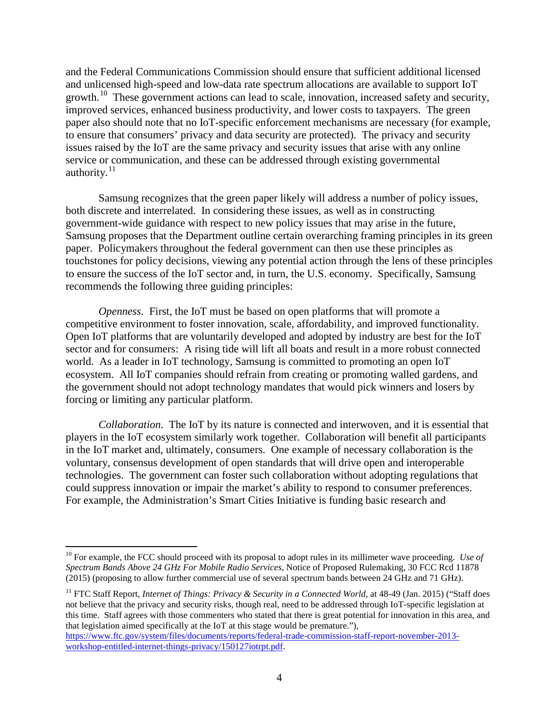and the Federal Communications Commission should ensure that sufficient additional licensed and unlicensed high-speed and low-data rate spectrum allocations are available to support IoT growth.<sup>10</sup> These government actions can lead to scale, innovation, increased safety and security, improved services, enhanced business productivity, and lower costs to taxpayers. The green paper also should note that no IoT-specific enforcement mechanisms are necessary (for example, to ensure that consumers' privacy and data security are protected). The privacy and security issues raised by the IoT are the same privacy and security issues that arise with any online service or communication, and these can be addressed through existing governmental authority. $11$ 

Samsung recognizes that the green paper likely will address a number of policy issues, both discrete and interrelated. In considering these issues, as well as in constructing government-wide guidance with respect to new policy issues that may arise in the future, Samsung proposes that the Department outline certain overarching framing principles in its green paper. Policymakers throughout the federal government can then use these principles as touchstones for policy decisions, viewing any potential action through the lens of these principles to ensure the success of the IoT sector and, in turn, the U.S. economy. Specifically, Samsung recommends the following three guiding principles:

*Openness*. First, the IoT must be based on open platforms that will promote a competitive environment to foster innovation, scale, affordability, and improved functionality. Open IoT platforms that are voluntarily developed and adopted by industry are best for the IoT sector and for consumers: A rising tide will lift all boats and result in a more robust connected world. As a leader in IoT technology, Samsung is committed to promoting an open IoT ecosystem. All IoT companies should refrain from creating or promoting walled gardens, and the government should not adopt technology mandates that would pick winners and losers by forcing or limiting any particular platform.

*Collaboration*. The IoT by its nature is connected and interwoven, and it is essential that players in the IoT ecosystem similarly work together. Collaboration will benefit all participants in the IoT market and, ultimately, consumers. One example of necessary collaboration is the voluntary, consensus development of open standards that will drive open and interoperable technologies. The government can foster such collaboration without adopting regulations that could suppress innovation or impair the market's ability to respond to consumer preferences. For example, the Administration's Smart Cities Initiative is funding basic research and

<span id="page-3-1"></span><span id="page-3-0"></span><sup>&</sup>lt;sup>10</sup> For example, the FCC should proceed with its proposal to adopt rules in its millimeter wave proceeding. *Use of Spectrum Bands Above 24 GHz For Mobile Radio Services*, Notice of Proposed Rulemaking, 30 FCC Rcd 11878 (2015) (proposing to allow further commercial use of several spectrum bands between 24 GHz and 71 GHz).

<sup>&</sup>lt;sup>11</sup> FTC Staff Report, *Internet of Things: Privacy & Security in a Connected World*, at 48-49 (Jan. 2015) ("Staff does not believe that the privacy and security risks, though real, need to be addressed through IoT-specific legislation at this time. Staff agrees with those commenters who stated that there is great potential for innovation in this area, and that legislation aimed specifically at the IoT at this stage would be premature."),

[https://www.ftc.gov/system/files/documents/reports/federal-trade-commission-staff-report-november-2013](https://www.ftc.gov/system/files/documents/reports/federal-trade-commission-staff-report-november-2013-workshop-entitled-internet-things-privacy/150127iotrpt.pdf) [workshop-entitled-internet-things-privacy/150127iotrpt.pdf.](https://www.ftc.gov/system/files/documents/reports/federal-trade-commission-staff-report-november-2013-workshop-entitled-internet-things-privacy/150127iotrpt.pdf)